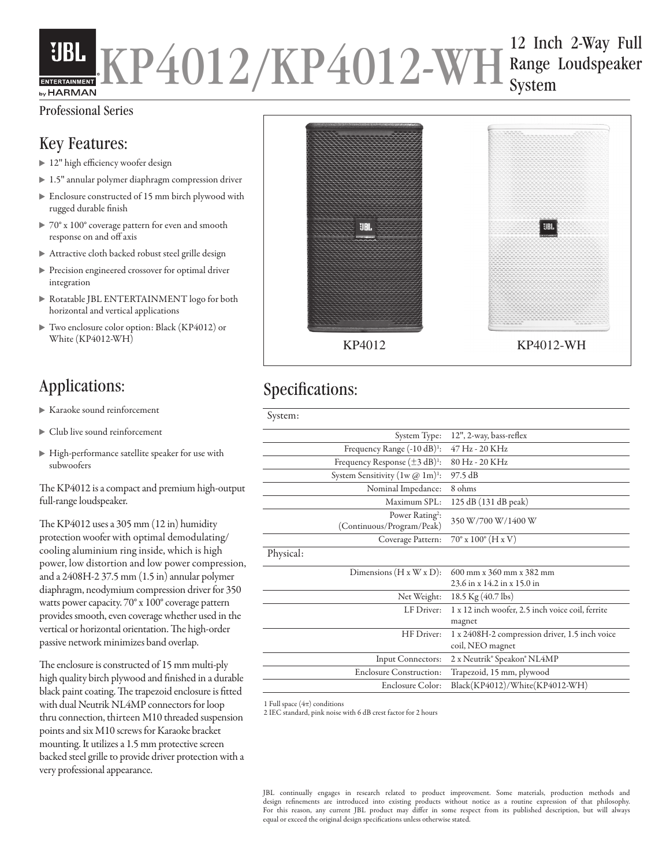#### 12 Inch 2-Way Full UBL KP4012/KP4012-WH Range Loudspeaker System by HARMAN

### Professional Series

## Key Features:

- ▶ 12" high efficiency woofer design
- ▶ 1.5" annular polymer diaphragm compression driver
- Enclosure constructed of 15 mm birch plywood with rugged durable finish
- ▶  $70^{\circ}$  x  $100^{\circ}$  coverage pattern for even and smooth response on and off axis
- Attractive cloth backed robust steel grille design
- Precision engineered crossover for optimal driver integration
- Rotatable JBL ENTERTAINMENT logo for both horizontal and vertical applications
- Two enclosure color option: Black (KP4012) or White (KP4012-WH)

- Karaoke sound reinforcement
- Club live sound reinforcement
- High-performance satellite speaker for use with subwoofers

The KP4012 is a compact and premium high-output full-range loudspeaker.

The KP4012 uses a 305 mm (12 in) humidity protection woofer with optimal demodulating/ cooling aluminium ring inside, which is high power, low distortion and low power compression, and a 2408H-2 37.5 mm (1.5 in) annular polymer diaphragm, neodymium compression driver for 350 watts power capacity. 70° x 100° coverage pattern provides smooth, even coverage whether used in the vertical or horizontal orientation. The high-order passive network minimizes band overlap.

The enclosure is constructed of 15 mm multi-ply high quality birch plywood and finished in a durable black paint coating. The trapezoid enclosure is fitted with dual Neutrik NL4MP connectors for loop thru connection, thirteen M10 threaded suspension points and six M10 screws for Karaoke bracket mounting. It utilizes a 1.5 mm protective screen backed steel grille to provide driver protection with a very professional appearance.



# Applications: Specifications:

|                                                          | System Type: 12", 2-way, bass-reflex                               |  |
|----------------------------------------------------------|--------------------------------------------------------------------|--|
| Frequency Range $(-10 dB)^1$ :                           | 47 Hz - 20 KHz                                                     |  |
| Frequency Response $(\pm 3 \text{ dB})^1$ :              | 80 Hz - 20 KHz                                                     |  |
| System Sensitivity $(1w @ 1m)^{1}$ :                     | 97.5 dB                                                            |  |
| Nominal Impedance:                                       | 8 ohms                                                             |  |
| Maximum $SPL$ :                                          | 125 dB (131 dB peak)                                               |  |
| Power Rating <sup>2</sup> :<br>(Continuous/Program/Peak) | 350 W/700 W/1400 W                                                 |  |
| Coverage Pattern:                                        | $70^{\circ}$ x $100^{\circ}$ (H x V)                               |  |
| Physical:                                                |                                                                    |  |
| Dimensions $(H x W x D)$ :                               | 600 mm x 360 mm x 382 mm                                           |  |
|                                                          | 23.6 in x 14.2 in x 15.0 in                                        |  |
| Net Weight:                                              | 18.5 Kg $(40.7 \text{ lbs})$                                       |  |
| LF Driver:                                               | 1 x 12 inch woofer, 2.5 inch voice coil, ferrite<br>magnet         |  |
| HF Driver:                                               | 1 x 2408H-2 compression driver, 1.5 inch voice<br>coil, NEO magnet |  |
| <b>Input Connectors:</b>                                 | 2 x Neutrik® Speakon® NL4MP                                        |  |
| <b>Enclosure Construction:</b>                           | Trapezoid, 15 mm, plywood                                          |  |
| Enclosure Color:                                         | Black(KP4012)/White(KP4012-WH)                                     |  |
|                                                          |                                                                    |  |

1 Full space  $(4\pi)$  conditions

2 IEC standard, pink noise with 6 dB crest factor for 2 hours

JBL continually engages in research related to product improvement. Some materials, production methods and design refinements are introduced into existing products without notice as a routine expression of that philosophy. For this reason, any current JBL product may differ in some respect from its published description, but will always equal or exceed the original design specifications unless otherwise stated.